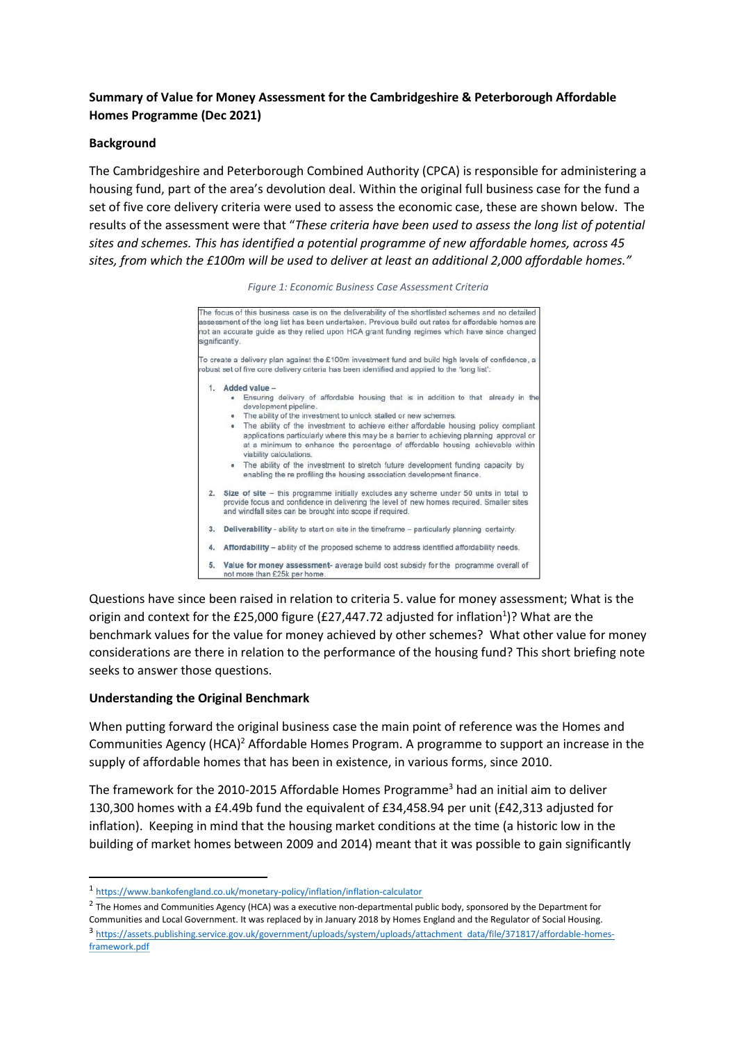## **Summary of Value for Money Assessment for the Cambridgeshire & Peterborough Affordable Homes Programme (Dec 2021)**

## **Background**

The Cambridgeshire and Peterborough Combined Authority (CPCA) is responsible for administering a housing fund, part of the area's devolution deal. Within the original full business case for the fund a set of five core delivery criteria were used to assess the economic case, these are shown below. The results of the assessment were that "*These criteria have been used to assess the long list of potential sites and schemes. This has identified a potential programme of new affordable homes, across 45 sites, from which the £100m will be used to deliver at least an additional 2,000 affordable homes."*

| Figure 1: Economic Business Case Assessment Criteria |  |
|------------------------------------------------------|--|
|------------------------------------------------------|--|



Questions have since been raised in relation to criteria 5. value for money assessment; What is the origin and context for the £25,000 figure (£27,447.72 adjusted for inflation<sup>1</sup>)? What are the benchmark values for the value for money achieved by other schemes? What other value for money considerations are there in relation to the performance of the housing fund? This short briefing note seeks to answer those questions.

## **Understanding the Original Benchmark**

When putting forward the original business case the main point of reference was the Homes and Communities Agency (HCA)<sup>2</sup> Affordable Homes Program. A programme to support an increase in the supply of affordable homes that has been in existence, in various forms, since 2010.

The framework for the 2010-2015 Affordable Homes Programme<sup>3</sup> had an initial aim to deliver 130,300 homes with a £4.49b fund the equivalent of £34,458.94 per unit (£42,313 adjusted for inflation). Keeping in mind that the housing market conditions at the time (a historic low in the building of market homes between 2009 and 2014) meant that it was possible to gain significantly

<sup>2</sup> The Homes and Communities Agency (HCA) was a executive non-departmental public body, sponsored by the Department for Communities and Local Government. It was replaced by in January 2018 by Homes England and the Regulator of Social Housing. 3 [https://assets.publishing.service.gov.uk/government/uploads/system/uploads/attachment\\_data/file/371817/affordable-homes](https://assets.publishing.service.gov.uk/government/uploads/system/uploads/attachment_data/file/371817/affordable-homes-framework.pdf)[framework.pdf](https://assets.publishing.service.gov.uk/government/uploads/system/uploads/attachment_data/file/371817/affordable-homes-framework.pdf)

<sup>1</sup> <https://www.bankofengland.co.uk/monetary-policy/inflation/inflation-calculator>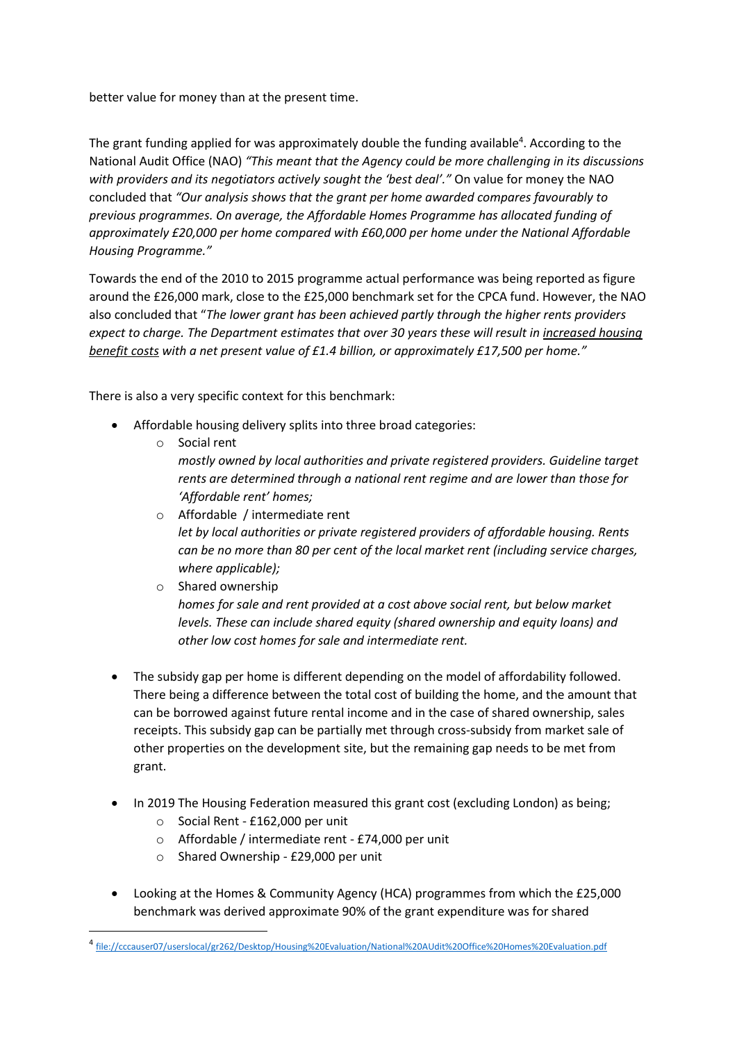better value for money than at the present time.

The grant funding applied for was approximately double the funding available<sup>4</sup>. According to the National Audit Office (NAO) *"This meant that the Agency could be more challenging in its discussions with providers and its negotiators actively sought the 'best deal'."* On value for money the NAO concluded that *"Our analysis shows that the grant per home awarded compares favourably to previous programmes. On average, the Affordable Homes Programme has allocated funding of approximately £20,000 per home compared with £60,000 per home under the National Affordable Housing Programme."*

Towards the end of the 2010 to 2015 programme actual performance was being reported as figure around the £26,000 mark, close to the £25,000 benchmark set for the CPCA fund. However, the NAO also concluded that "*The lower grant has been achieved partly through the higher rents providers expect to charge. The Department estimates that over 30 years these will result in increased housing benefit costs with a net present value of £1.4 billion, or approximately £17,500 per home."*

There is also a very specific context for this benchmark:

- Affordable housing delivery splits into three broad categories:
	- o Social rent *mostly owned by local authorities and private registered providers. Guideline target rents are determined through a national rent regime and are lower than those for 'Affordable rent' homes;*
	- o Affordable / intermediate rent *let by local authorities or private registered providers of affordable housing. Rents can be no more than 80 per cent of the local market rent (including service charges, where applicable);*
	- o Shared ownership *homes for sale and rent provided at a cost above social rent, but below market levels. These can include shared equity (shared ownership and equity loans) and other low cost homes for sale and intermediate rent.*
- The subsidy gap per home is different depending on the model of affordability followed. There being a difference between the total cost of building the home, and the amount that can be borrowed against future rental income and in the case of shared ownership, sales receipts. This subsidy gap can be partially met through cross-subsidy from market sale of other properties on the development site, but the remaining gap needs to be met from grant.
- In 2019 The Housing Federation measured this grant cost (excluding London) as being;
	- o Social Rent £162,000 per unit
	- o Affordable / intermediate rent £74,000 per unit
	- o Shared Ownership £29,000 per unit
- Looking at the Homes & Community Agency (HCA) programmes from which the £25,000 benchmark was derived approximate 90% of the grant expenditure was for shared

<sup>4</sup> [file://cccauser07/userslocal/gr262/Desktop/Housing%20Evaluation/National%20AUdit%20Office%20Homes%20Evaluation.pdf](file://///cccauser07/userslocal/gr262/Desktop/Housing%20Evaluation/National%20AUdit%20Office%20Homes%20Evaluation.pdf)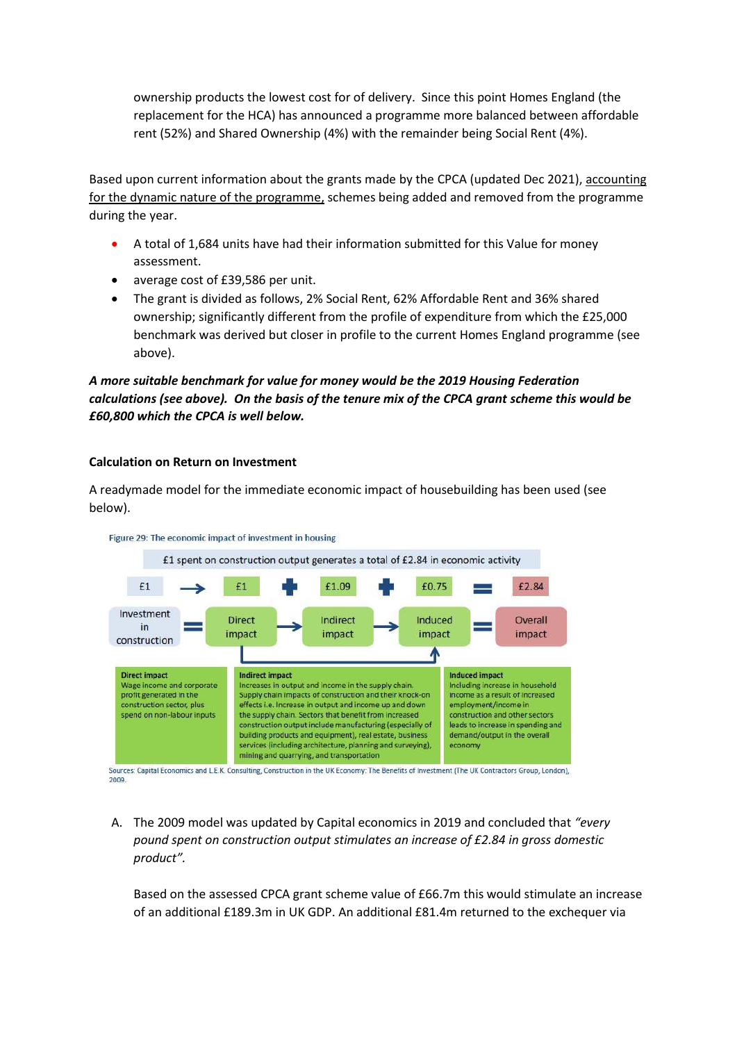ownership products the lowest cost for of delivery. Since this point Homes England (the replacement for the HCA) has announced a programme more balanced between affordable rent (52%) and Shared Ownership (4%) with the remainder being Social Rent (4%).

Based upon current information about the grants made by the CPCA (updated Dec 2021), accounting for the dynamic nature of the programme, schemes being added and removed from the programme during the year.

- A total of 1,684 units have had their information submitted for this Value for money assessment.
- average cost of £39,586 per unit.
- The grant is divided as follows, 2% Social Rent, 62% Affordable Rent and 36% shared ownership; significantly different from the profile of expenditure from which the £25,000 benchmark was derived but closer in profile to the current Homes England programme (see above).

*A more suitable benchmark for value for money would be the 2019 Housing Federation calculations (see above). On the basis of the tenure mix of the CPCA grant scheme this would be £60,800 which the CPCA is well below.*

## **Calculation on Return on Investment**

A readymade model for the immediate economic impact of housebuilding has been used (see below).



Figure 29: The economic impact of investment in housing

Sources: Capital Economics and L.E.K. Consulting, Construction in the UK Economy: The Benefits of Investment (The UK Contractors Group, London), 2009

A. The 2009 model was updated by Capital economics in 2019 and concluded that *"every pound spent on construction output stimulates an increase of £2.84 in gross domestic product".*

Based on the assessed CPCA grant scheme value of £66.7m this would stimulate an increase of an additional £189.3m in UK GDP. An additional £81.4m returned to the exchequer via